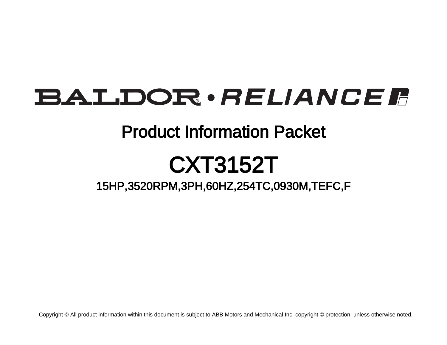## **BALDOR** · RELIANCE F

### Product Information Packet

# CXT3152T

### 15HP,3520RPM,3PH,60HZ,254TC,0930M,TEFC,F

Copyright © All product information within this document is subject to ABB Motors and Mechanical Inc. copyright © protection, unless otherwise noted.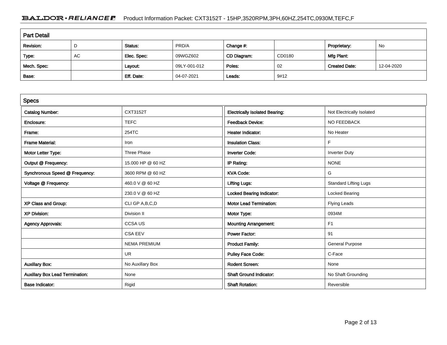#### BALDOR · RELIANCE F Product Information Packet: CXT3152T - 15HP,3520RPM,3PH,60HZ,254TC,0930M,TEFC,F

| <b>Part Detail</b> |    |             |              |             |        |                      |            |  |  |
|--------------------|----|-------------|--------------|-------------|--------|----------------------|------------|--|--|
| Revision:          | D  | Status:     | PRD/A        | Change #:   |        | Proprietary:         | No         |  |  |
| Type:              | AC | Elec. Spec: | 09WGZ602     | CD Diagram: | CD0180 | Mfg Plant:           |            |  |  |
| Mech. Spec:        |    | Layout:     | 09LY-001-012 | Poles:      | 02     | <b>Created Date:</b> | 12-04-2020 |  |  |
| Base:              |    | Eff. Date:  | 04-07-2021   | Leads:      | 9#12   |                      |            |  |  |

| <b>Specs</b>                           |                     |                                       |                              |
|----------------------------------------|---------------------|---------------------------------------|------------------------------|
| <b>Catalog Number:</b>                 | CXT3152T            | <b>Electrically Isolated Bearing:</b> | Not Electrically Isolated    |
| Enclosure:                             | <b>TEFC</b>         | <b>Feedback Device:</b>               | NO FEEDBACK                  |
| Frame:                                 | 254TC               | <b>Heater Indicator:</b>              | No Heater                    |
| <b>Frame Material:</b>                 | Iron                | <b>Insulation Class:</b>              | F                            |
| Motor Letter Type:                     | Three Phase         | <b>Inverter Code:</b>                 | <b>Inverter Duty</b>         |
| Output @ Frequency:                    | 15,000 HP @ 60 HZ   | IP Rating:                            | <b>NONE</b>                  |
| Synchronous Speed @ Frequency:         | 3600 RPM @ 60 HZ    | <b>KVA Code:</b>                      | G                            |
| Voltage @ Frequency:                   | 460.0 V @ 60 HZ     | <b>Lifting Lugs:</b>                  | <b>Standard Lifting Lugs</b> |
|                                        | 230.0 V @ 60 HZ     | <b>Locked Bearing Indicator:</b>      | <b>Locked Bearing</b>        |
| XP Class and Group:                    | CLI GP A, B, C, D   | <b>Motor Lead Termination:</b>        | <b>Flying Leads</b>          |
| <b>XP Division:</b>                    | Division II         | Motor Type:                           | 0934M                        |
| <b>Agency Approvals:</b>               | <b>CCSA US</b>      | <b>Mounting Arrangement:</b>          | F <sub>1</sub>               |
|                                        | <b>CSA EEV</b>      | <b>Power Factor:</b>                  | 91                           |
|                                        | <b>NEMA PREMIUM</b> | <b>Product Family:</b>                | <b>General Purpose</b>       |
|                                        | <b>UR</b>           | <b>Pulley Face Code:</b>              | C-Face                       |
| <b>Auxillary Box:</b>                  | No Auxillary Box    | <b>Rodent Screen:</b>                 | None                         |
| <b>Auxillary Box Lead Termination:</b> | None                | <b>Shaft Ground Indicator:</b>        | No Shaft Grounding           |
| <b>Base Indicator:</b>                 | Rigid               | <b>Shaft Rotation:</b>                | Reversible                   |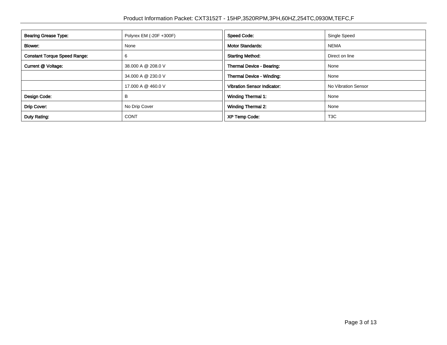| <b>Bearing Grease Type:</b>         | Polyrex EM (-20F +300F) | <b>Speed Code:</b>                 | Single Speed        |
|-------------------------------------|-------------------------|------------------------------------|---------------------|
| Blower:                             | None                    | <b>Motor Standards:</b>            | <b>NEMA</b>         |
| <b>Constant Torque Speed Range:</b> | 6                       | <b>Starting Method:</b>            | Direct on line      |
| Current @ Voltage:                  | 38.000 A @ 208.0 V      | Thermal Device - Bearing:          | None                |
|                                     | 34.000 A @ 230.0 V      | Thermal Device - Winding:          | None                |
|                                     | 17.000 A @ 460.0 V      | <b>Vibration Sensor Indicator:</b> | No Vibration Sensor |
| Design Code:                        | В                       | <b>Winding Thermal 1:</b>          | None                |
| Drip Cover:                         | No Drip Cover           | <b>Winding Thermal 2:</b>          | None                |
| Duty Rating:                        | <b>CONT</b>             | <b>XP Temp Code:</b>               | T <sub>3</sub> C    |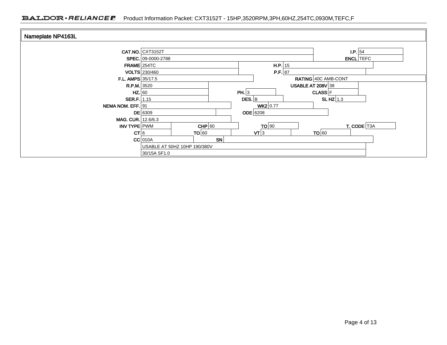#### BALDOR · RELIANCE F Product Information Packet: CXT3152T - 15HP,3520RPM,3PH,60HZ,254TC,0930M,TEFC,F

| Nameplate NP4163L        |                              |            |                          |                          |            |                  |
|--------------------------|------------------------------|------------|--------------------------|--------------------------|------------|------------------|
|                          | CAT.NO. CXT3152T             |            |                          |                          | $I.P.$ 54  |                  |
|                          | SPEC. 09-0000-2788           |            |                          |                          |            | <b>ENCL</b> TEFC |
| $FRAME$ 254TC            |                              |            | $H.P.$ 15                |                          |            |                  |
|                          | <b>VOLTS</b> 230/460         |            | P.F. 87                  |                          |            |                  |
| <b>F.L. AMPS</b> 35/17.5 |                              |            |                          | RATING 40C AMB-CONT      |            |                  |
| <b>R.P.M.</b> 3520       |                              |            |                          | <b>USABLE AT 208V 38</b> |            |                  |
| HZ. 60                   |                              | PH. $ 3$   |                          | <b>CLASS</b> F           |            |                  |
| SER.F. 1.15              |                              | $DES.$ B   |                          |                          | SLHZ $1.3$ |                  |
| NEMA NOM. EFF. 91        |                              |            | $WK2$ 0.77               |                          |            |                  |
|                          | $DE$ 6309                    | $ODE$ 6208 |                          |                          |            |                  |
| MAG. CUR. 12.6/6.3       |                              |            |                          |                          |            |                  |
| INV TYPE PWM             | $CHP$ 60                     |            | TO 90                    |                          |            | T. CODE T3A      |
| CT 6                     | TO 60                        |            | $\mathsf{V}\mathsf{T}$ 3 | TO 60                    |            |                  |
|                          | $CC$ 010A                    | <b>SN</b>  |                          |                          |            |                  |
|                          | USABLE AT 50HZ 10HP 190/380V |            |                          |                          |            |                  |
|                          | 30/15A SF1.0                 |            |                          |                          |            |                  |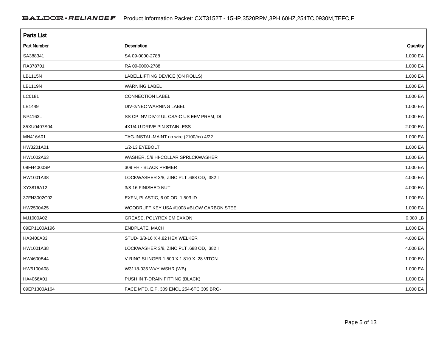| <b>Parts List</b>  |                                          |          |  |  |  |  |
|--------------------|------------------------------------------|----------|--|--|--|--|
| <b>Part Number</b> | Description                              | Quantity |  |  |  |  |
| SA388341           | SA 09-0000-2788                          | 1.000 EA |  |  |  |  |
| RA378701           | RA 09-0000-2788                          | 1.000 EA |  |  |  |  |
| LB1115N            | LABEL, LIFTING DEVICE (ON ROLLS)         | 1.000 EA |  |  |  |  |
| LB1119N            | <b>WARNING LABEL</b>                     | 1.000 EA |  |  |  |  |
| LC0181             | <b>CONNECTION LABEL</b>                  | 1.000 EA |  |  |  |  |
| LB1449             | DIV-2/NEC WARNING LABEL                  | 1.000 EA |  |  |  |  |
| NP4163L            | SS CP INV DIV-2 UL CSA-C US EEV PREM, DI | 1.000 EA |  |  |  |  |
| 85XU0407S04        | 4X1/4 U DRIVE PIN STAINLESS              | 2.000 EA |  |  |  |  |
| MN416A01           | TAG-INSTAL-MAINT no wire (2100/bx) 4/22  | 1.000 EA |  |  |  |  |
| HW3201A01          | 1/2-13 EYEBOLT                           | 1.000 EA |  |  |  |  |
| HW1002A63          | WASHER, 5/8 HI-COLLAR SPRLCKWASHER       | 1.000 EA |  |  |  |  |
| 09FH4000SP         | 309 FH - BLACK PRIMER                    | 1.000 EA |  |  |  |  |
| HW1001A38          | LOCKWASHER 3/8, ZINC PLT .688 OD, .382 I | 4.000 EA |  |  |  |  |
| XY3816A12          | 3/8-16 FINISHED NUT                      | 4.000 EA |  |  |  |  |
| 37FN3002C02        | EXFN, PLASTIC, 6.00 OD, 1.503 ID         | 1.000 EA |  |  |  |  |
| HW2500A25          | WOODRUFF KEY USA #1008 #BLOW CARBON STEE | 1.000 EA |  |  |  |  |
| MJ1000A02          | GREASE, POLYREX EM EXXON                 | 0.080 LB |  |  |  |  |
| 09EP1100A196       | ENDPLATE, MACH                           | 1.000 EA |  |  |  |  |
| HA3400A33          | STUD-3/8-16 X 4.82 HEX WELKER            | 4.000 EA |  |  |  |  |
| HW1001A38          | LOCKWASHER 3/8, ZINC PLT .688 OD, .382 I | 4.000 EA |  |  |  |  |
| HW4600B44          | V-RING SLINGER 1.500 X 1.810 X .28 VITON | 1.000 EA |  |  |  |  |
| HW5100A08          | W3118-035 WVY WSHR (WB)                  | 1.000 EA |  |  |  |  |
| HA4066A01          | PUSH IN T-DRAIN FITTING (BLACK)          | 1.000 EA |  |  |  |  |
| 09EP1300A164       | FACE MTD. E.P. 309 ENCL 254-6TC 309 BRG- | 1.000 EA |  |  |  |  |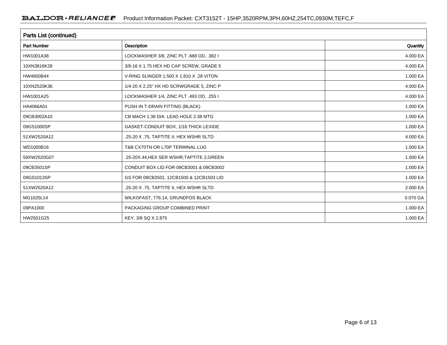| Parts List (continued) |                                            |          |  |  |  |
|------------------------|--------------------------------------------|----------|--|--|--|
| <b>Part Number</b>     | Description                                | Quantity |  |  |  |
| HW1001A38              | LOCKWASHER 3/8, ZINC PLT .688 OD, .382 I   | 4.000 EA |  |  |  |
| 10XN3816K28            | 3/8-16 X 1.75 HEX HD CAP SCREW, GRADE 5    | 4.000 EA |  |  |  |
| HW4600B44              | V-RING SLINGER 1.500 X 1.810 X .28 VITON   | 1.000 EA |  |  |  |
| 10XN2520K36            | 1/4-20 X 2.25" HX HD SCRWGRADE 5, ZINC P   | 4.000 EA |  |  |  |
| HW1001A25              | LOCKWASHER 1/4, ZINC PLT .493 OD, .255 I   | 4.000 EA |  |  |  |
| HA4066A01              | PUSH IN T-DRAIN FITTING (BLACK)            | 1.000 EA |  |  |  |
| 09CB3002A10            | CB MACH 1.38 DIA. LEAD HOLE 2.38 MTG       | 1.000 EA |  |  |  |
| 09GS1000SP             | GASKET-CONDUIT BOX, 1/16 THICK LEXIDE      | 1.000 EA |  |  |  |
| 51XW2520A12            | .25-20 X .75, TAPTITE II, HEX WSHR SLTD    | 4.000 EA |  |  |  |
| WD1000B16              | T&B CX70TN OR L70P TERMINAL LUG            | 1.000 EA |  |  |  |
| 59XW2520G07            | .25-20X.44, HEX SER WSHR, TAPTITE 2, GREEN | 1.000 EA |  |  |  |
| 09CB3501SP             | CONDUIT BOX LID FOR 09CB3001 & 09CB3002    | 1.000 EA |  |  |  |
| 09GS1013SP             | GS FOR 09CB3501, 12CB1500 & 12CB1503 LID   | 1.000 EA |  |  |  |
| 51XW2520A12            | .25-20 X .75, TAPTITE II, HEX WSHR SLTD    | 2.000 EA |  |  |  |
| MG1025L14              | WILKOFAST, 776.14, GRUNDFOS BLACK          | 0.070 GA |  |  |  |
| 09PA1000               | PACKAGING GROUP COMBINED PRINT             | 1.000 EA |  |  |  |
| HW2501G25              | KEY, 3/8 SQ X 2.875                        | 1.000 EA |  |  |  |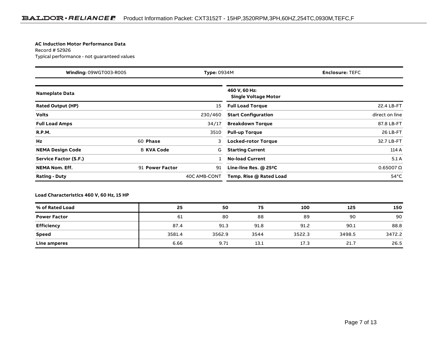#### **AC Induction Motor Performance Data**

Record # 52926Typical performance - not guaranteed values

| Winding: 09WGT003-R005<br><b>Type: 0934M</b> |                   |              | <b>Enclosure: TEFC</b>                       |                    |
|----------------------------------------------|-------------------|--------------|----------------------------------------------|--------------------|
| <b>Nameplate Data</b>                        |                   |              | 460 V, 60 Hz:<br><b>Single Voltage Motor</b> |                    |
| <b>Rated Output (HP)</b>                     |                   | 15           | <b>Full Load Torque</b>                      | 22.4 LB-FT         |
| <b>Volts</b>                                 |                   | 230/460      | <b>Start Configuration</b>                   | direct on line     |
| <b>Full Load Amps</b>                        |                   | 34/17        | <b>Breakdown Torque</b>                      | 87.8 LB-FT         |
| <b>R.P.M.</b>                                |                   | 3510         | <b>Pull-up Torque</b>                        | 26 LB-FT           |
| Hz                                           | 60 Phase          | 3            | <b>Locked-rotor Torque</b>                   | 32.7 LB-FT         |
| <b>NEMA Design Code</b>                      | <b>B KVA Code</b> | G            | <b>Starting Current</b>                      | 114 A              |
| Service Factor (S.F.)                        |                   |              | <b>No-load Current</b>                       | 5.1A               |
| <b>NEMA Nom. Eff.</b>                        | 91 Power Factor   | 91           | Line-line Res. @ 25°C                        | $0.65007$ $\Omega$ |
| <b>Rating - Duty</b>                         |                   | 40C AMB-CONT | Temp. Rise @ Rated Load                      | $54^{\circ}$ C     |

#### **Load Characteristics 460 V, 60 Hz, 15 HP**

| % of Rated Load     | 25     | 50     | 75   | 100    | 125    | 150    |
|---------------------|--------|--------|------|--------|--------|--------|
| <b>Power Factor</b> | -61    | 80     | 88   | 89     | 90     | 90     |
| Efficiency          | 87.4   | 91.3   | 91.8 | 91.2   | 90.1   | 88.8   |
| <b>Speed</b>        | 3581.4 | 3562.9 | 3544 | 3522.3 | 3498.5 | 3472.2 |
| Line amperes        | 6.66   | 9.71   | 13.1 | 17.3   | 21.7   | 26.5   |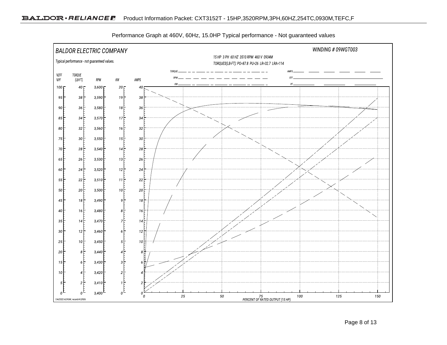

Performance Graph at 460V, 60Hz, 15.0HP Typical performance - Not guaranteed values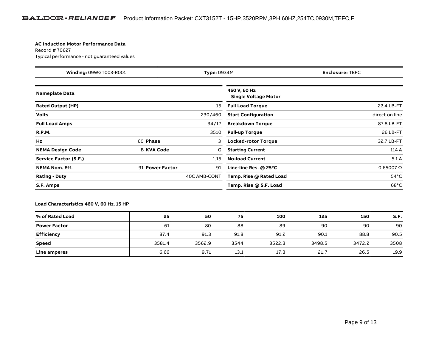#### **AC Induction Motor Performance Data**

Record # 70627Typical performance - not guaranteed values

| Winding: 09WGT003-R001<br><b>Type: 0934M</b> |                   |              | <b>Enclosure: TEFC</b>                       |                    |
|----------------------------------------------|-------------------|--------------|----------------------------------------------|--------------------|
| <b>Nameplate Data</b>                        |                   |              | 460 V, 60 Hz:<br><b>Single Voltage Motor</b> |                    |
| <b>Rated Output (HP)</b>                     |                   | 15           | <b>Full Load Torque</b>                      | 22.4 LB-FT         |
| <b>Volts</b>                                 |                   | 230/460      | <b>Start Configuration</b>                   | direct on line     |
| <b>Full Load Amps</b>                        |                   | 34/17        | <b>Breakdown Torque</b>                      | 87.8 LB-FT         |
| <b>R.P.M.</b>                                |                   | 3510         | <b>Pull-up Torque</b>                        | 26 LB-FT           |
| Hz                                           | 60 Phase          | 3            | <b>Locked-rotor Torque</b>                   | 32.7 LB-FT         |
| <b>NEMA Design Code</b>                      | <b>B KVA Code</b> | G            | <b>Starting Current</b>                      | 114 A              |
| Service Factor (S.F.)                        |                   | 1.15         | <b>No-load Current</b>                       | 5.1A               |
| <b>NEMA Nom. Eff.</b>                        | 91 Power Factor   | 91           | Line-line Res. @ 25°C                        | $0.65007$ $\Omega$ |
| <b>Rating - Duty</b>                         |                   | 40C AMB-CONT | Temp. Rise @ Rated Load                      | $54^{\circ}$ C     |
| S.F. Amps                                    |                   |              | Temp. Rise @ S.F. Load                       | $68^{\circ}$ C     |

#### **Load Characteristics 460 V, 60 Hz, 15 HP**

| % of Rated Load     | 25     | 50     | 75   | 100    | 125    | 150    | S.F. |
|---------------------|--------|--------|------|--------|--------|--------|------|
| <b>Power Factor</b> | 61     | 80     | 88   | 89     | 90     | 90     | 90   |
| <b>Efficiency</b>   | 87.4   | 91.3   | 91.8 | 91.2   | 90.1   | 88.8   | 90.5 |
| Speed               | 3581.4 | 3562.9 | 3544 | 3522.3 | 3498.5 | 3472.2 | 3508 |
| Line amperes        | 6.66   | 9.71   | 13.1 | 17.3   | 21.7   | 26.5   | 19.9 |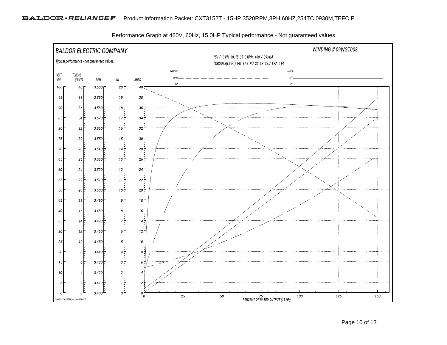

Performance Graph at 460V, 60Hz, 15.0HP Typical performance - Not guaranteed values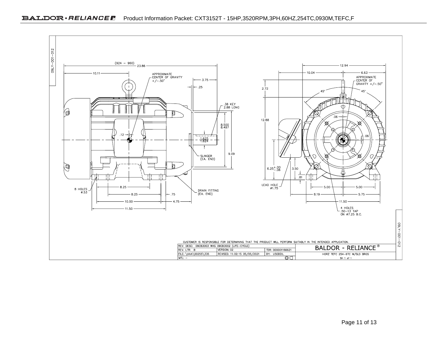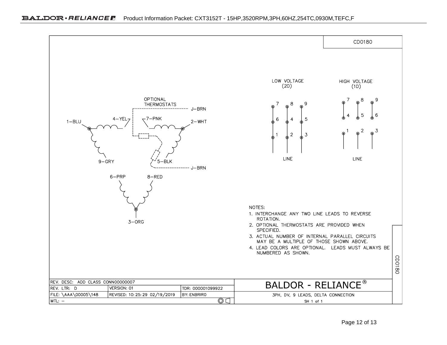